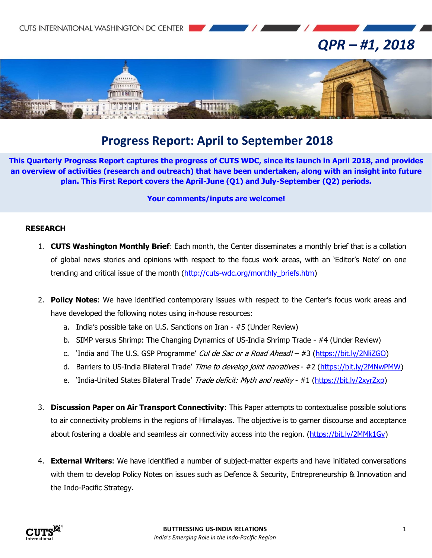# *QPR – #1, 2018*



# **Progress Report: April to September 2018**

**This Quarterly Progress Report captures the progress of CUTS WDC, since its launch in April 2018, and provides an overview of activities (research and outreach) that have been undertaken, along with an insight into future plan. This First Report covers the April-June (Q1) and July-September (Q2) periods.**

#### **Your comments/inputs are welcome!**

# **RESEARCH**

- 1. **CUTS Washington Monthly Brief**: Each month, the Center disseminates a monthly brief that is a collation of global news stories and opinions with respect to the focus work areas, with an 'Editor's Note' on one trending and critical issue of the month [\(http://cuts-wdc.org/monthly\\_briefs.htm\)](http://cuts-wdc.org/monthly_briefs.htm)
- 2. **Policy Notes**: We have identified contemporary issues with respect to the Center's focus work areas and have developed the following notes using in-house resources:
	- a. India's possible take on U.S. Sanctions on Iran #5 (Under Review)
	- b. SIMP versus Shrimp: The Changing Dynamics of US-India Shrimp Trade #4 (Under Review)
	- c. 'India and The U.S. GSP Programme' Cul de Sac or a Road Ahead! #3 [\(https://bit.ly/2NliZGO\)](https://bit.ly/2NliZGO)
	- d. Barriers to US-India Bilateral Trade' Time to develop joint narratives #2 [\(https://bit.ly/2MNwPMW\)](https://bit.ly/2MNwPMW)
	- e. 'India-United States Bilateral Trade' Trade deficit: Myth and reality #1 [\(https://bit.ly/2xyrZxp\)](https://bit.ly/2xyrZxp)
- 3. **Discussion Paper on Air Transport Connectivity**: This Paper attempts to contextualise possible solutions to air connectivity problems in the regions of Himalayas. The objective is to garner discourse and acceptance about fostering a doable and seamless air connectivity access into the region. [\(https://bit.ly/2MMk1Gy\)](https://bit.ly/2MMk1Gy)
- 4. **External Writers**: We have identified a number of subject-matter experts and have initiated conversations with them to develop Policy Notes on issues such as Defence & Security, Entrepreneurship & Innovation and the Indo-Pacific Strategy.

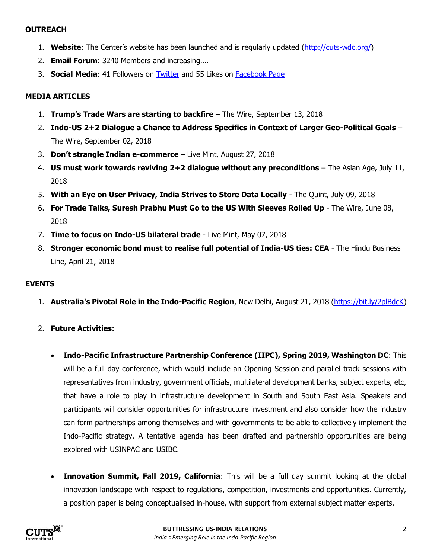# **OUTREACH**

- 1. **Website**: The Center's website has been launched and is regularly updated [\(http://cuts-wdc.org/\)](http://cuts-wdc.org/)
- 2. **Email Forum**: 3240 Members and increasing….
- 3. **Social Media**: 41 Followers on [Twitter](https://twitter.com/cutswdc) and 55 Likes on [Facebook Page](https://www.facebook.com/cutswdc)

# **[MEDIA ARTICLES](http://cuts-wdc.org/Media.htm)**

- 1. **Trump's Trade Wars are starting to backfire** The Wire, September 13, 2018
- 2. **Indo-US 2+2 Dialogue a Chance to Address Specifics in Context of Larger Geo-Political Goals** The Wire, September 02, 2018
- 3. **Don't strangle Indian e-commerce** Live Mint, August 27, 2018
- 4. **US must work towards reviving 2+2 dialogue without any preconditions** The Asian Age, July 11, 2018
- 5. **With an Eye on User Privacy, India Strives to Store Data Locally** The Quint, July 09, 2018
- 6. **For Trade Talks, Suresh Prabhu Must Go to the US With Sleeves Rolled Up** The Wire, June 08, 2018
- 7. **Time to focus on Indo-US bilateral trade** Live Mint, May 07, 2018
- 8. **Stronger economic bond must to realise full potential of India-US ties: CEA** The Hindu Business Line, April 21, 2018

#### **EVENTS**

- 1. **Australia's Pivotal Role in the Indo-Pacific Region**, New Delhi, August 21, 2018 [\(https://bit.ly/2plBdcK\)](https://bit.ly/2plBdcK)
- 2. **Future Activities:**
	- **Indo-Pacific Infrastructure Partnership Conference (IIPC), Spring 2019, Washington DC**: This will be a full day conference, which would include an Opening Session and parallel track sessions with representatives from industry, government officials, multilateral development banks, subject experts, etc, that have a role to play in infrastructure development in South and South East Asia. Speakers and participants will consider opportunities for infrastructure investment and also consider how the industry can form partnerships among themselves and with governments to be able to collectively implement the Indo-Pacific strategy. A tentative agenda has been drafted and partnership opportunities are being explored with USINPAC and USIBC.
	- **Innovation Summit, Fall 2019, California**: This will be a full day summit looking at the global innovation landscape with respect to regulations, competition, investments and opportunities. Currently, a position paper is being conceptualised in-house, with support from external subject matter experts.